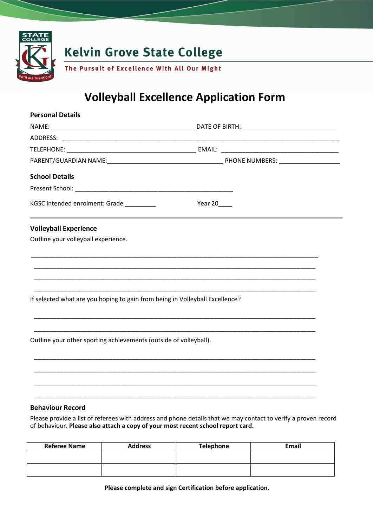

# **Volleyball Excellence Application Form**

| <b>Personal Details</b>                                                      |                                                                                                                       |
|------------------------------------------------------------------------------|-----------------------------------------------------------------------------------------------------------------------|
|                                                                              |                                                                                                                       |
|                                                                              |                                                                                                                       |
|                                                                              |                                                                                                                       |
|                                                                              |                                                                                                                       |
| <b>School Details</b>                                                        |                                                                                                                       |
|                                                                              |                                                                                                                       |
| KGSC intended enrolment: Grade                                               | Year 20_____                                                                                                          |
| <b>Volleyball Experience</b>                                                 |                                                                                                                       |
| Outline your volleyball experience.                                          |                                                                                                                       |
|                                                                              |                                                                                                                       |
|                                                                              |                                                                                                                       |
|                                                                              | <u> 1989 - Johann Harry Harry Harry Harry Harry Harry Harry Harry Harry Harry Harry Harry Harry Harry Harry Harry</u> |
| If selected what are you hoping to gain from being in Volleyball Excellence? |                                                                                                                       |
|                                                                              |                                                                                                                       |
|                                                                              |                                                                                                                       |
| Outline your other sporting achievements (outside of volleyball).            |                                                                                                                       |
|                                                                              |                                                                                                                       |
|                                                                              |                                                                                                                       |
|                                                                              |                                                                                                                       |
|                                                                              |                                                                                                                       |
| <b>Behaviour Record</b>                                                      |                                                                                                                       |

Please provide a list of referees with address and phone details that we may contact to verify a proven record of behaviour. **Please also attach a copy of your most recent school report card.** 

| <b>Referee Name</b> | <b>Address</b> | <b>Telephone</b> | Email |
|---------------------|----------------|------------------|-------|
|                     |                |                  |       |
|                     |                |                  |       |
|                     |                |                  |       |

**Please complete and sign Certification before application.**